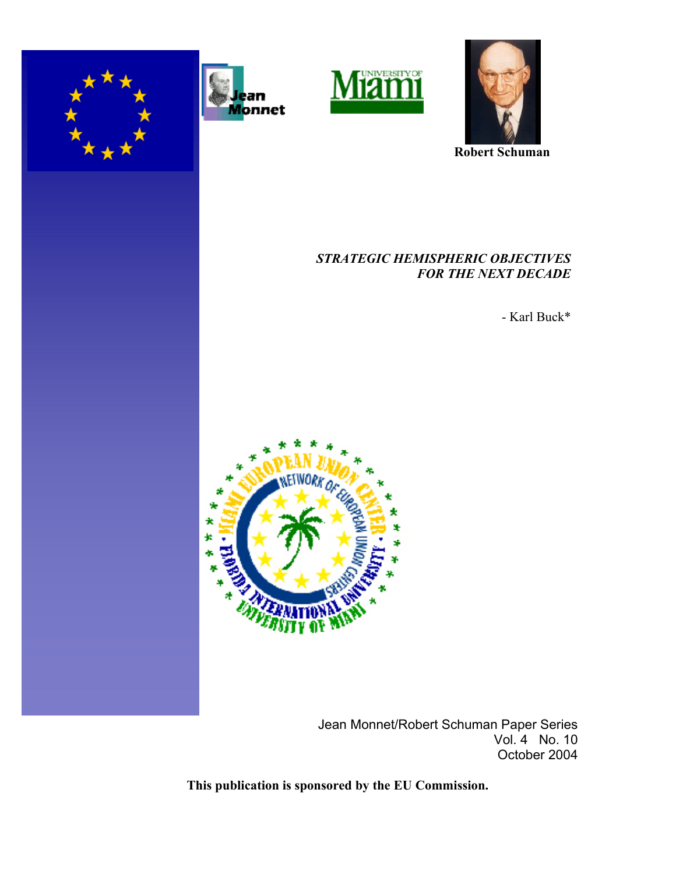





 **Robert Schuman**

## *STRATEGIC HEMISPHERIC OBJECTIVES FOR THE NEXT DECADE*

- Karl Buck\*



Jean Monnet/Robert Schuman Paper Series Vol. 4 No. 10 October 2004

**This publication is sponsored by the EU Commission.**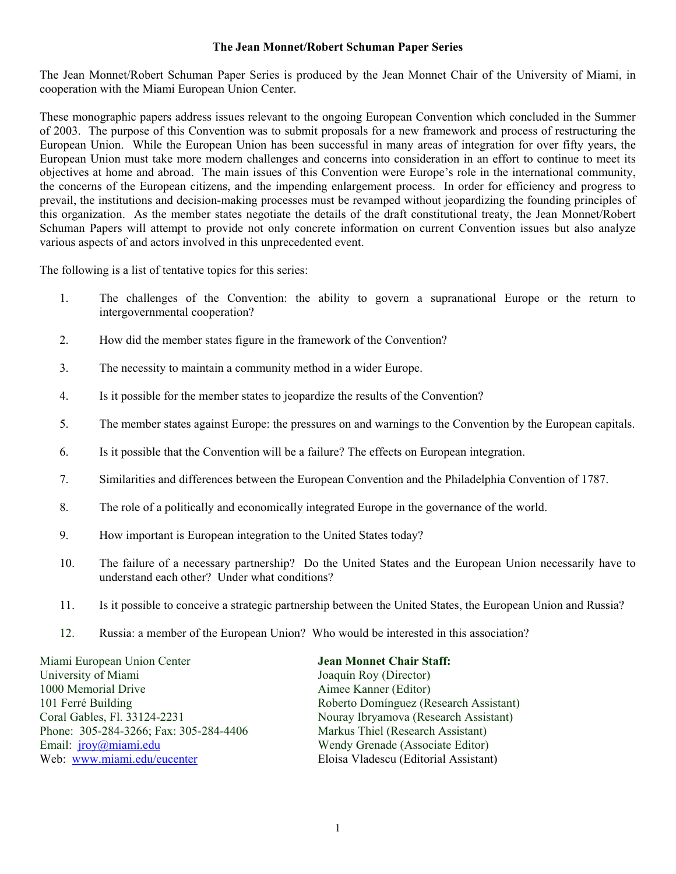#### **The Jean Monnet/Robert Schuman Paper Series**

The Jean Monnet/Robert Schuman Paper Series is produced by the Jean Monnet Chair of the University of Miami, in cooperation with the Miami European Union Center.

These monographic papers address issues relevant to the ongoing European Convention which concluded in the Summer of 2003. The purpose of this Convention was to submit proposals for a new framework and process of restructuring the European Union. While the European Union has been successful in many areas of integration for over fifty years, the European Union must take more modern challenges and concerns into consideration in an effort to continue to meet its objectives at home and abroad. The main issues of this Convention were Europe's role in the international community, the concerns of the European citizens, and the impending enlargement process. In order for efficiency and progress to prevail, the institutions and decision-making processes must be revamped without jeopardizing the founding principles of this organization. As the member states negotiate the details of the draft constitutional treaty, the Jean Monnet/Robert Schuman Papers will attempt to provide not only concrete information on current Convention issues but also analyze various aspects of and actors involved in this unprecedented event.

The following is a list of tentative topics for this series:

- 1. The challenges of the Convention: the ability to govern a supranational Europe or the return to intergovernmental cooperation?
- 2. How did the member states figure in the framework of the Convention?
- 3. The necessity to maintain a community method in a wider Europe.
- 4. Is it possible for the member states to jeopardize the results of the Convention?
- 5. The member states against Europe: the pressures on and warnings to the Convention by the European capitals.
- 6. Is it possible that the Convention will be a failure? The effects on European integration.
- 7. Similarities and differences between the European Convention and the Philadelphia Convention of 1787.
- 8. The role of a politically and economically integrated Europe in the governance of the world.
- 9. How important is European integration to the United States today?
- 10. The failure of a necessary partnership? Do the United States and the European Union necessarily have to understand each other? Under what conditions?
- 11. Is it possible to conceive a strategic partnership between the United States, the European Union and Russia?
- 12. Russia: a member of the European Union? Who would be interested in this association?

Miami European Union Center **Jean Monnet Chair Staff:**  University of Miami Joaquín Roy (Director) 1000 Memorial Drive **Aimee Kanner (Editor)** Aimee Kanner (Editor) 101 Ferré Building<br>
Coral Gables, Fl. 33124-2231 Roberto Domínguez (Research Assistant)<br>
Nouray Ibryamova (Research Assistant) Phone: 305-284-3266; Fax: 305-284-4406 Markus Thiel (Research Assistant) Email: jroy@miami.edu Wendy Grenade (Associate Editor) Web: www.miami.edu/eucenter Eloisa Vladescu (Editorial Assistant)

Nouray Ibryamova (Research Assistant)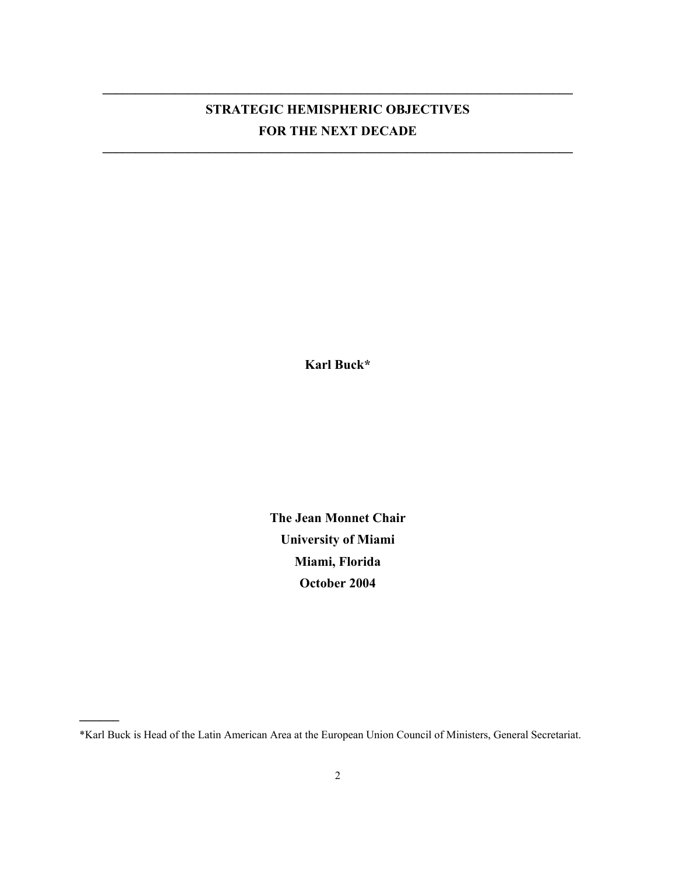# **STRATEGIC HEMISPHERIC OBJECTIVES FOR THE NEXT DECADE**

 $\mathcal{L} = \{ \mathcal{L} = \{ \mathcal{L} \mid \mathcal{L} = \{ \mathcal{L} \mid \mathcal{L} = \{ \mathcal{L} \mid \mathcal{L} = \{ \mathcal{L} \mid \mathcal{L} = \{ \mathcal{L} \mid \mathcal{L} = \{ \mathcal{L} \mid \mathcal{L} = \{ \mathcal{L} \mid \mathcal{L} = \{ \mathcal{L} \mid \mathcal{L} = \{ \mathcal{L} \mid \mathcal{L} = \{ \mathcal{L} \mid \mathcal{L} = \{ \mathcal{L} \mid \mathcal{L} = \{ \mathcal{L} \mid \mathcal{L} =$ 

 $\mathcal{L} = \{ \mathcal{L} = \{ \mathcal{L} \mid \mathcal{L} = \{ \mathcal{L} \mid \mathcal{L} = \{ \mathcal{L} \mid \mathcal{L} = \{ \mathcal{L} \mid \mathcal{L} = \{ \mathcal{L} \mid \mathcal{L} = \{ \mathcal{L} \mid \mathcal{L} = \{ \mathcal{L} \mid \mathcal{L} = \{ \mathcal{L} \mid \mathcal{L} = \{ \mathcal{L} \mid \mathcal{L} = \{ \mathcal{L} \mid \mathcal{L} = \{ \mathcal{L} \mid \mathcal{L} = \{ \mathcal{L} \mid \mathcal{L} =$ 

**Karl Buck\*** 

**The Jean Monnet Chair University of Miami Miami, Florida October 2004** 

\*Karl Buck is Head of the Latin American Area at the European Union Council of Ministers, General Secretariat.

**\_\_\_\_\_\_**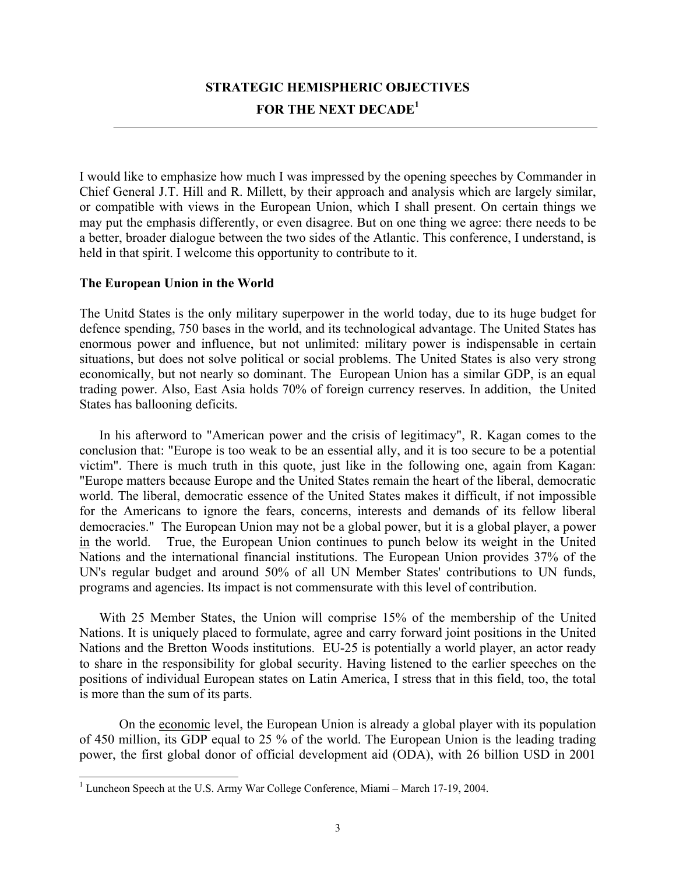## **STRATEGIC HEMISPHERIC OBJECTIVES FOR THE NEXT DECADE<sup>1</sup>**

I would like to emphasize how much I was impressed by the opening speeches by Commander in Chief General J.T. Hill and R. Millett, by their approach and analysis which are largely similar, or compatible with views in the European Union, which I shall present. On certain things we may put the emphasis differently, or even disagree. But on one thing we agree: there needs to be a better, broader dialogue between the two sides of the Atlantic. This conference, I understand, is held in that spirit. I welcome this opportunity to contribute to it.

## **The European Union in the World**

 $\overline{\phantom{a}}$ 

The Unitd States is the only military superpower in the world today, due to its huge budget for defence spending, 750 bases in the world, and its technological advantage. The United States has enormous power and influence, but not unlimited: military power is indispensable in certain situations, but does not solve political or social problems. The United States is also very strong economically, but not nearly so dominant. The European Union has a similar GDP, is an equal trading power. Also, East Asia holds 70% of foreign currency reserves. In addition, the United States has ballooning deficits.

 In his afterword to "American power and the crisis of legitimacy", R. Kagan comes to the conclusion that: "Europe is too weak to be an essential ally, and it is too secure to be a potential victim". There is much truth in this quote, just like in the following one, again from Kagan: "Europe matters because Europe and the United States remain the heart of the liberal, democratic world. The liberal, democratic essence of the United States makes it difficult, if not impossible for the Americans to ignore the fears, concerns, interests and demands of its fellow liberal democracies." The European Union may not be a global power, but it is a global player, a power in the world. True, the European Union continues to punch below its weight in the United Nations and the international financial institutions. The European Union provides 37% of the UN's regular budget and around 50% of all UN Member States' contributions to UN funds, programs and agencies. Its impact is not commensurate with this level of contribution.

 With 25 Member States, the Union will comprise 15% of the membership of the United Nations. It is uniquely placed to formulate, agree and carry forward joint positions in the United Nations and the Bretton Woods institutions. EU-25 is potentially a world player, an actor ready to share in the responsibility for global security. Having listened to the earlier speeches on the positions of individual European states on Latin America, I stress that in this field, too, the total is more than the sum of its parts.

On the economic level, the European Union is already a global player with its population of 450 million, its GDP equal to 25 % of the world. The European Union is the leading trading power, the first global donor of official development aid (ODA), with 26 billion USD in 2001

<sup>&</sup>lt;sup>1</sup> Luncheon Speech at the U.S. Army War College Conference, Miami – March 17-19, 2004.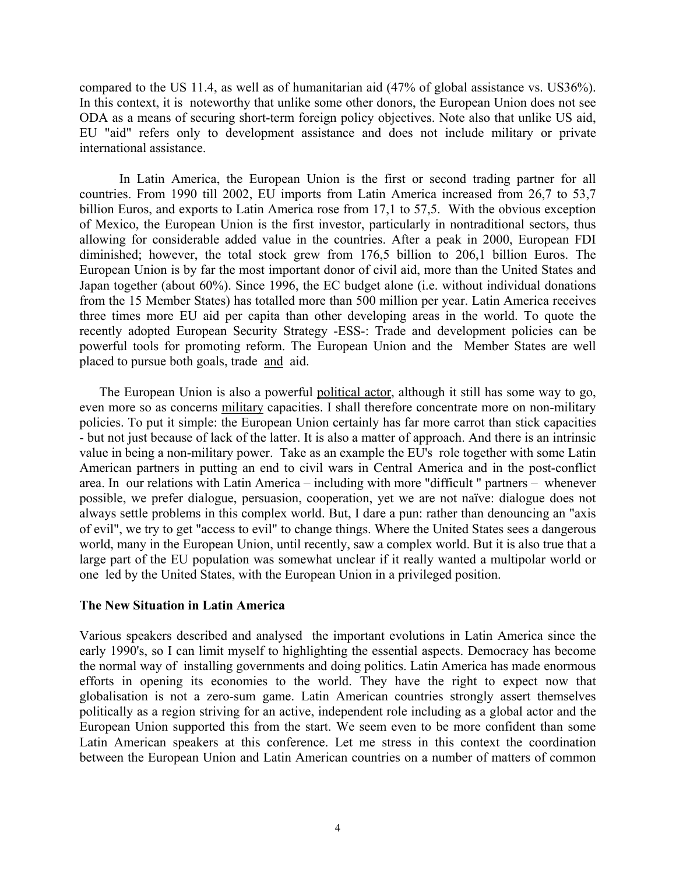compared to the US 11.4, as well as of humanitarian aid (47% of global assistance vs. US36%). In this context, it is noteworthy that unlike some other donors, the European Union does not see ODA as a means of securing short-term foreign policy objectives. Note also that unlike US aid, EU "aid" refers only to development assistance and does not include military or private international assistance.

In Latin America, the European Union is the first or second trading partner for all countries. From 1990 till 2002, EU imports from Latin America increased from 26,7 to 53,7 billion Euros, and exports to Latin America rose from 17,1 to 57,5. With the obvious exception of Mexico, the European Union is the first investor, particularly in nontraditional sectors, thus allowing for considerable added value in the countries. After a peak in 2000, European FDI diminished; however, the total stock grew from 176,5 billion to 206,1 billion Euros. The European Union is by far the most important donor of civil aid, more than the United States and Japan together (about 60%). Since 1996, the EC budget alone (i.e. without individual donations from the 15 Member States) has totalled more than 500 million per year. Latin America receives three times more EU aid per capita than other developing areas in the world. To quote the recently adopted European Security Strategy -ESS-: Trade and development policies can be powerful tools for promoting reform. The European Union and the Member States are well placed to pursue both goals, trade and aid.

 The European Union is also a powerful political actor, although it still has some way to go, even more so as concerns military capacities. I shall therefore concentrate more on non-military policies. To put it simple: the European Union certainly has far more carrot than stick capacities - but not just because of lack of the latter. It is also a matter of approach. And there is an intrinsic value in being a non-military power. Take as an example the EU's role together with some Latin American partners in putting an end to civil wars in Central America and in the post-conflict area. In our relations with Latin America – including with more "difficult " partners – whenever possible, we prefer dialogue, persuasion, cooperation, yet we are not naïve: dialogue does not always settle problems in this complex world. But, I dare a pun: rather than denouncing an "axis of evil", we try to get "access to evil" to change things. Where the United States sees a dangerous world, many in the European Union, until recently, saw a complex world. But it is also true that a large part of the EU population was somewhat unclear if it really wanted a multipolar world or one led by the United States, with the European Union in a privileged position.

#### **The New Situation in Latin America**

Various speakers described and analysed the important evolutions in Latin America since the early 1990's, so I can limit myself to highlighting the essential aspects. Democracy has become the normal way of installing governments and doing politics. Latin America has made enormous efforts in opening its economies to the world. They have the right to expect now that globalisation is not a zero-sum game. Latin American countries strongly assert themselves politically as a region striving for an active, independent role including as a global actor and the European Union supported this from the start. We seem even to be more confident than some Latin American speakers at this conference. Let me stress in this context the coordination between the European Union and Latin American countries on a number of matters of common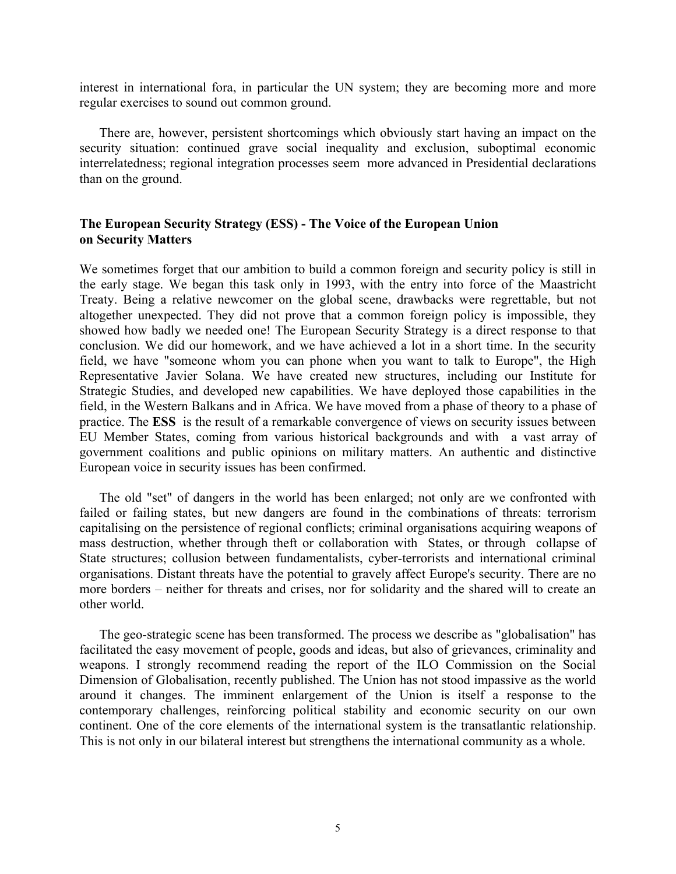interest in international fora, in particular the UN system; they are becoming more and more regular exercises to sound out common ground.

 There are, however, persistent shortcomings which obviously start having an impact on the security situation: continued grave social inequality and exclusion, suboptimal economic interrelatedness; regional integration processes seem more advanced in Presidential declarations than on the ground.

### **The European Security Strategy (ESS) - The Voice of the European Union on Security Matters**

We sometimes forget that our ambition to build a common foreign and security policy is still in the early stage. We began this task only in 1993, with the entry into force of the Maastricht Treaty. Being a relative newcomer on the global scene, drawbacks were regrettable, but not altogether unexpected. They did not prove that a common foreign policy is impossible, they showed how badly we needed one! The European Security Strategy is a direct response to that conclusion. We did our homework, and we have achieved a lot in a short time. In the security field, we have "someone whom you can phone when you want to talk to Europe", the High Representative Javier Solana. We have created new structures, including our Institute for Strategic Studies, and developed new capabilities. We have deployed those capabilities in the field, in the Western Balkans and in Africa. We have moved from a phase of theory to a phase of practice. The **ESS** is the result of a remarkable convergence of views on security issues between EU Member States, coming from various historical backgrounds and with a vast array of government coalitions and public opinions on military matters. An authentic and distinctive European voice in security issues has been confirmed.

 The old "set" of dangers in the world has been enlarged; not only are we confronted with failed or failing states, but new dangers are found in the combinations of threats: terrorism capitalising on the persistence of regional conflicts; criminal organisations acquiring weapons of mass destruction, whether through theft or collaboration with States, or through collapse of State structures; collusion between fundamentalists, cyber-terrorists and international criminal organisations. Distant threats have the potential to gravely affect Europe's security. There are no more borders – neither for threats and crises, nor for solidarity and the shared will to create an other world.

 The geo-strategic scene has been transformed. The process we describe as "globalisation" has facilitated the easy movement of people, goods and ideas, but also of grievances, criminality and weapons. I strongly recommend reading the report of the ILO Commission on the Social Dimension of Globalisation, recently published. The Union has not stood impassive as the world around it changes. The imminent enlargement of the Union is itself a response to the contemporary challenges, reinforcing political stability and economic security on our own continent. One of the core elements of the international system is the transatlantic relationship. This is not only in our bilateral interest but strengthens the international community as a whole.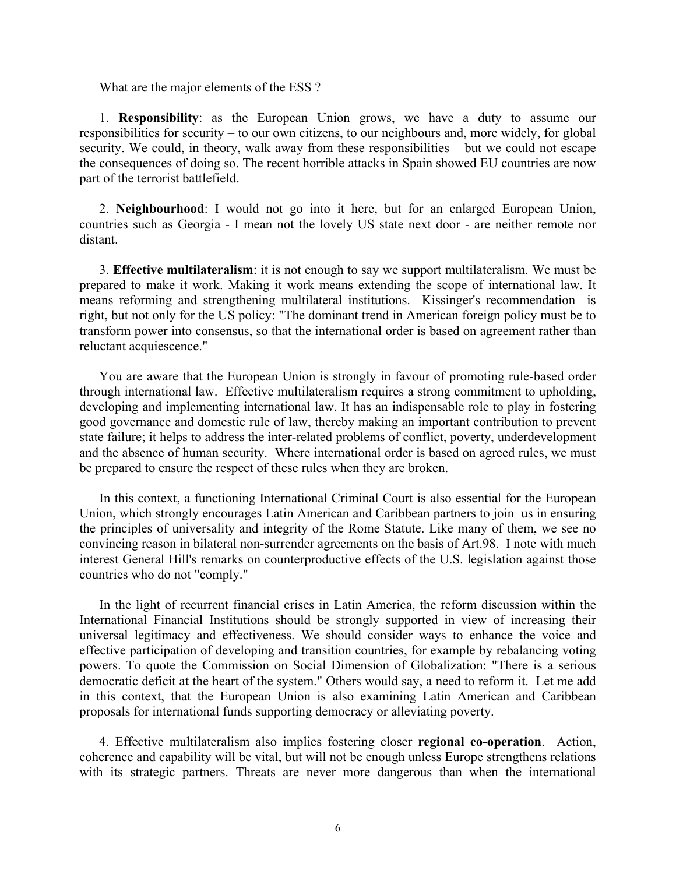What are the major elements of the ESS ?

 1. **Responsibility**: as the European Union grows, we have a duty to assume our responsibilities for security – to our own citizens, to our neighbours and, more widely, for global security. We could, in theory, walk away from these responsibilities – but we could not escape the consequences of doing so. The recent horrible attacks in Spain showed EU countries are now part of the terrorist battlefield.

 2. **Neighbourhood**: I would not go into it here, but for an enlarged European Union, countries such as Georgia - I mean not the lovely US state next door - are neither remote nor distant.

 3. **Effective multilateralism**: it is not enough to say we support multilateralism. We must be prepared to make it work. Making it work means extending the scope of international law. It means reforming and strengthening multilateral institutions. Kissinger's recommendation is right, but not only for the US policy: "The dominant trend in American foreign policy must be to transform power into consensus, so that the international order is based on agreement rather than reluctant acquiescence."

 You are aware that the European Union is strongly in favour of promoting rule-based order through international law. Effective multilateralism requires a strong commitment to upholding, developing and implementing international law. It has an indispensable role to play in fostering good governance and domestic rule of law, thereby making an important contribution to prevent state failure; it helps to address the inter-related problems of conflict, poverty, underdevelopment and the absence of human security. Where international order is based on agreed rules, we must be prepared to ensure the respect of these rules when they are broken.

 In this context, a functioning International Criminal Court is also essential for the European Union, which strongly encourages Latin American and Caribbean partners to join us in ensuring the principles of universality and integrity of the Rome Statute. Like many of them, we see no convincing reason in bilateral non-surrender agreements on the basis of Art.98. I note with much interest General Hill's remarks on counterproductive effects of the U.S. legislation against those countries who do not "comply."

 In the light of recurrent financial crises in Latin America, the reform discussion within the International Financial Institutions should be strongly supported in view of increasing their universal legitimacy and effectiveness. We should consider ways to enhance the voice and effective participation of developing and transition countries, for example by rebalancing voting powers. To quote the Commission on Social Dimension of Globalization: "There is a serious democratic deficit at the heart of the system." Others would say, a need to reform it. Let me add in this context, that the European Union is also examining Latin American and Caribbean proposals for international funds supporting democracy or alleviating poverty.

 4. Effective multilateralism also implies fostering closer **regional co-operation**. Action, coherence and capability will be vital, but will not be enough unless Europe strengthens relations with its strategic partners. Threats are never more dangerous than when the international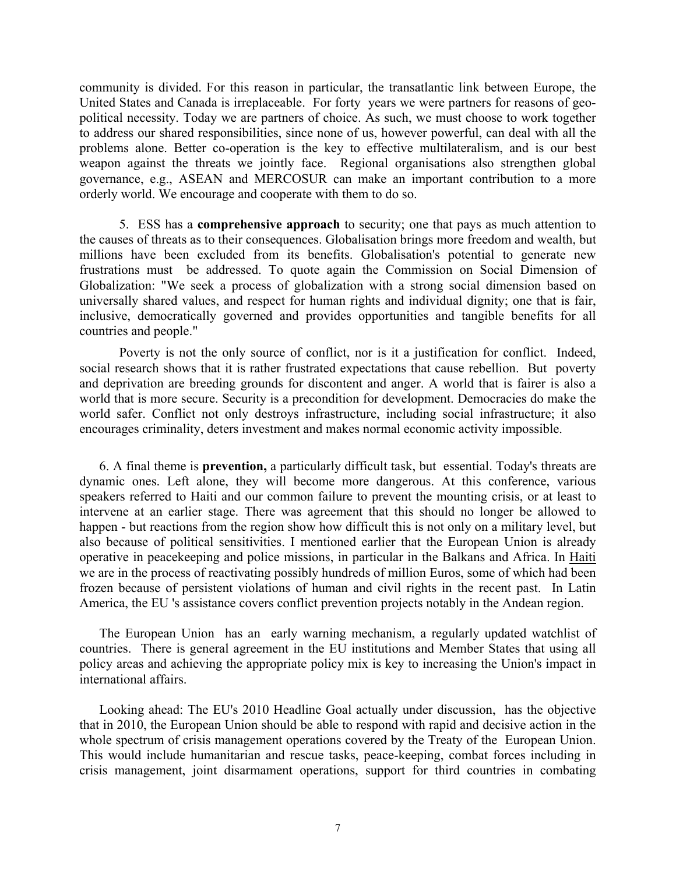community is divided. For this reason in particular, the transatlantic link between Europe, the United States and Canada is irreplaceable. For forty years we were partners for reasons of geopolitical necessity. Today we are partners of choice. As such, we must choose to work together to address our shared responsibilities, since none of us, however powerful, can deal with all the problems alone. Better co-operation is the key to effective multilateralism, and is our best weapon against the threats we jointly face. Regional organisations also strengthen global governance, e.g., ASEAN and MERCOSUR can make an important contribution to a more orderly world. We encourage and cooperate with them to do so.

5.ESS has a **comprehensive approach** to security; one that pays as much attention to the causes of threats as to their consequences. Globalisation brings more freedom and wealth, but millions have been excluded from its benefits. Globalisation's potential to generate new frustrations must be addressed. To quote again the Commission on Social Dimension of Globalization: "We seek a process of globalization with a strong social dimension based on universally shared values, and respect for human rights and individual dignity; one that is fair, inclusive, democratically governed and provides opportunities and tangible benefits for all countries and people."

Poverty is not the only source of conflict, nor is it a justification for conflict. Indeed, social research shows that it is rather frustrated expectations that cause rebellion. But poverty and deprivation are breeding grounds for discontent and anger. A world that is fairer is also a world that is more secure. Security is a precondition for development. Democracies do make the world safer. Conflict not only destroys infrastructure, including social infrastructure; it also encourages criminality, deters investment and makes normal economic activity impossible.

 6. A final theme is **prevention,** a particularly difficult task, but essential. Today's threats are dynamic ones. Left alone, they will become more dangerous. At this conference, various speakers referred to Haiti and our common failure to prevent the mounting crisis, or at least to intervene at an earlier stage. There was agreement that this should no longer be allowed to happen - but reactions from the region show how difficult this is not only on a military level, but also because of political sensitivities. I mentioned earlier that the European Union is already operative in peacekeeping and police missions, in particular in the Balkans and Africa. In Haiti we are in the process of reactivating possibly hundreds of million Euros, some of which had been frozen because of persistent violations of human and civil rights in the recent past. In Latin America, the EU 's assistance covers conflict prevention projects notably in the Andean region.

 The European Union has an early warning mechanism, a regularly updated watchlist of countries. There is general agreement in the EU institutions and Member States that using all policy areas and achieving the appropriate policy mix is key to increasing the Union's impact in international affairs.

 Looking ahead: The EU's 2010 Headline Goal actually under discussion, has the objective that in 2010, the European Union should be able to respond with rapid and decisive action in the whole spectrum of crisis management operations covered by the Treaty of the European Union. This would include humanitarian and rescue tasks, peace-keeping, combat forces including in crisis management, joint disarmament operations, support for third countries in combating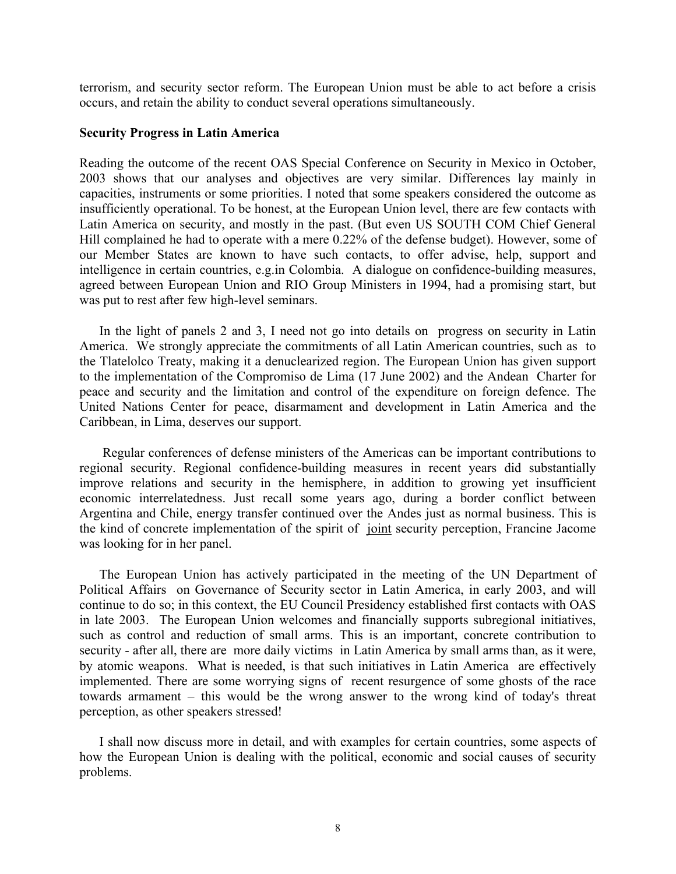terrorism, and security sector reform. The European Union must be able to act before a crisis occurs, and retain the ability to conduct several operations simultaneously.

#### **Security Progress in Latin America**

Reading the outcome of the recent OAS Special Conference on Security in Mexico in October, 2003 shows that our analyses and objectives are very similar. Differences lay mainly in capacities, instruments or some priorities. I noted that some speakers considered the outcome as insufficiently operational. To be honest, at the European Union level, there are few contacts with Latin America on security, and mostly in the past. (But even US SOUTH COM Chief General Hill complained he had to operate with a mere 0.22% of the defense budget). However, some of our Member States are known to have such contacts, to offer advise, help, support and intelligence in certain countries, e.g.in Colombia. A dialogue on confidence-building measures, agreed between European Union and RIO Group Ministers in 1994, had a promising start, but was put to rest after few high-level seminars.

 In the light of panels 2 and 3, I need not go into details on progress on security in Latin America. We strongly appreciate the commitments of all Latin American countries, such as to the Tlatelolco Treaty, making it a denuclearized region. The European Union has given support to the implementation of the Compromiso de Lima (17 June 2002) and the Andean Charter for peace and security and the limitation and control of the expenditure on foreign defence. The United Nations Center for peace, disarmament and development in Latin America and the Caribbean, in Lima, deserves our support.

 Regular conferences of defense ministers of the Americas can be important contributions to regional security. Regional confidence-building measures in recent years did substantially improve relations and security in the hemisphere, in addition to growing yet insufficient economic interrelatedness. Just recall some years ago, during a border conflict between Argentina and Chile, energy transfer continued over the Andes just as normal business. This is the kind of concrete implementation of the spirit of joint security perception, Francine Jacome was looking for in her panel.

 The European Union has actively participated in the meeting of the UN Department of Political Affairs on Governance of Security sector in Latin America, in early 2003, and will continue to do so; in this context, the EU Council Presidency established first contacts with OAS in late 2003. The European Union welcomes and financially supports subregional initiatives, such as control and reduction of small arms. This is an important, concrete contribution to security - after all, there are more daily victims in Latin America by small arms than, as it were, by atomic weapons. What is needed, is that such initiatives in Latin America are effectively implemented. There are some worrying signs of recent resurgence of some ghosts of the race towards armament – this would be the wrong answer to the wrong kind of today's threat perception, as other speakers stressed!

 I shall now discuss more in detail, and with examples for certain countries, some aspects of how the European Union is dealing with the political, economic and social causes of security problems.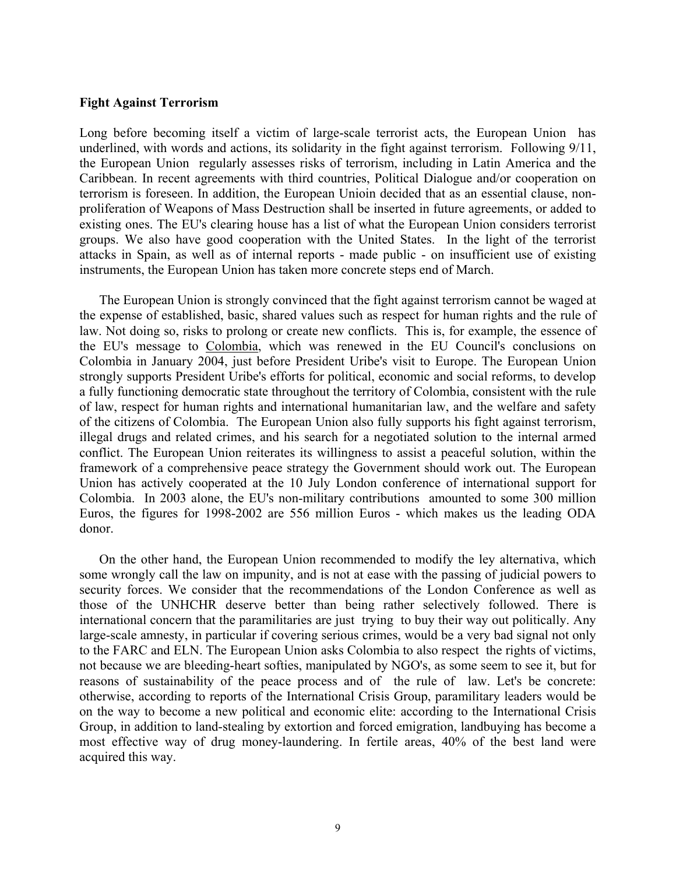#### **Fight Against Terrorism**

Long before becoming itself a victim of large-scale terrorist acts, the European Union has underlined, with words and actions, its solidarity in the fight against terrorism. Following 9/11, the European Union regularly assesses risks of terrorism, including in Latin America and the Caribbean. In recent agreements with third countries, Political Dialogue and/or cooperation on terrorism is foreseen. In addition, the European Unioin decided that as an essential clause, nonproliferation of Weapons of Mass Destruction shall be inserted in future agreements, or added to existing ones. The EU's clearing house has a list of what the European Union considers terrorist groups. We also have good cooperation with the United States. In the light of the terrorist attacks in Spain, as well as of internal reports - made public - on insufficient use of existing instruments, the European Union has taken more concrete steps end of March.

 The European Union is strongly convinced that the fight against terrorism cannot be waged at the expense of established, basic, shared values such as respect for human rights and the rule of law. Not doing so, risks to prolong or create new conflicts. This is, for example, the essence of the EU's message to Colombia, which was renewed in the EU Council's conclusions on Colombia in January 2004, just before President Uribe's visit to Europe. The European Union strongly supports President Uribe's efforts for political, economic and social reforms, to develop a fully functioning democratic state throughout the territory of Colombia, consistent with the rule of law, respect for human rights and international humanitarian law, and the welfare and safety of the citizens of Colombia. The European Union also fully supports his fight against terrorism, illegal drugs and related crimes, and his search for a negotiated solution to the internal armed conflict. The European Union reiterates its willingness to assist a peaceful solution, within the framework of a comprehensive peace strategy the Government should work out. The European Union has actively cooperated at the 10 July London conference of international support for Colombia. In 2003 alone, the EU's non-military contributions amounted to some 300 million Euros, the figures for 1998-2002 are 556 million Euros - which makes us the leading ODA donor.

 On the other hand, the European Union recommended to modify the ley alternativa, which some wrongly call the law on impunity, and is not at ease with the passing of judicial powers to security forces. We consider that the recommendations of the London Conference as well as those of the UNHCHR deserve better than being rather selectively followed. There is international concern that the paramilitaries are just trying to buy their way out politically. Any large-scale amnesty, in particular if covering serious crimes, would be a very bad signal not only to the FARC and ELN. The European Union asks Colombia to also respect the rights of victims, not because we are bleeding-heart softies, manipulated by NGO's, as some seem to see it, but for reasons of sustainability of the peace process and of the rule of law. Let's be concrete: otherwise, according to reports of the International Crisis Group, paramilitary leaders would be on the way to become a new political and economic elite: according to the International Crisis Group, in addition to land-stealing by extortion and forced emigration, landbuying has become a most effective way of drug money-laundering. In fertile areas, 40% of the best land were acquired this way.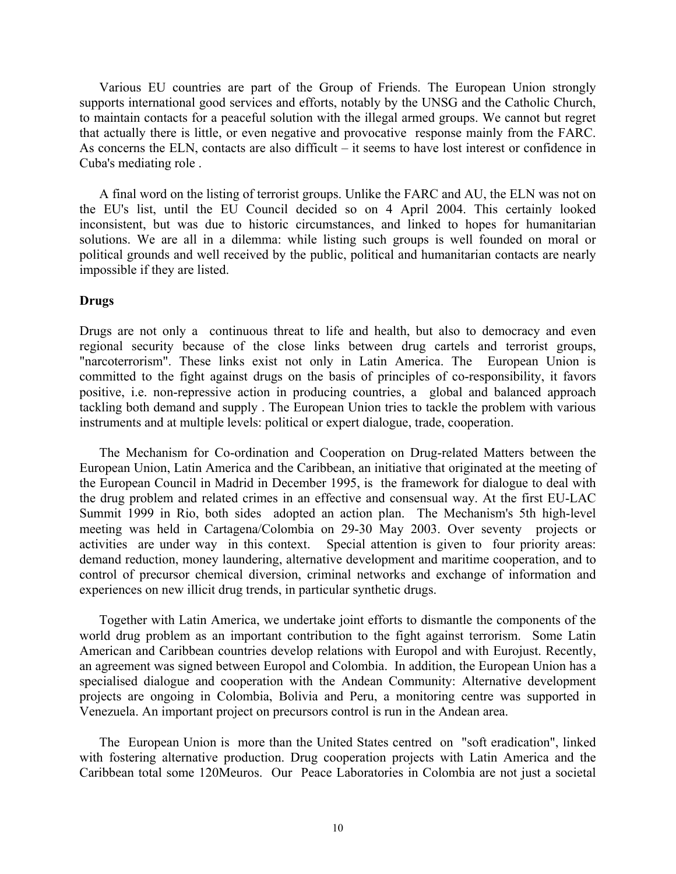Various EU countries are part of the Group of Friends. The European Union strongly supports international good services and efforts, notably by the UNSG and the Catholic Church, to maintain contacts for a peaceful solution with the illegal armed groups. We cannot but regret that actually there is little, or even negative and provocative response mainly from the FARC. As concerns the ELN, contacts are also difficult – it seems to have lost interest or confidence in Cuba's mediating role .

 A final word on the listing of terrorist groups. Unlike the FARC and AU, the ELN was not on the EU's list, until the EU Council decided so on 4 April 2004. This certainly looked inconsistent, but was due to historic circumstances, and linked to hopes for humanitarian solutions. We are all in a dilemma: while listing such groups is well founded on moral or political grounds and well received by the public, political and humanitarian contacts are nearly impossible if they are listed.

#### **Drugs**

Drugs are not only a continuous threat to life and health, but also to democracy and even regional security because of the close links between drug cartels and terrorist groups, "narcoterrorism". These links exist not only in Latin America. The European Union is committed to the fight against drugs on the basis of principles of co-responsibility, it favors positive, i.e. non-repressive action in producing countries, a global and balanced approach tackling both demand and supply . The European Union tries to tackle the problem with various instruments and at multiple levels: political or expert dialogue, trade, cooperation.

 The Mechanism for Co-ordination and Cooperation on Drug-related Matters between the European Union, Latin America and the Caribbean, an initiative that originated at the meeting of the European Council in Madrid in December 1995, is the framework for dialogue to deal with the drug problem and related crimes in an effective and consensual way. At the first EU-LAC Summit 1999 in Rio, both sides adopted an action plan. The Mechanism's 5th high-level meeting was held in Cartagena/Colombia on 29-30 May 2003. Over seventy projects or activities are under way in this context. Special attention is given to four priority areas: demand reduction, money laundering, alternative development and maritime cooperation, and to control of precursor chemical diversion, criminal networks and exchange of information and experiences on new illicit drug trends, in particular synthetic drugs.

 Together with Latin America, we undertake joint efforts to dismantle the components of the world drug problem as an important contribution to the fight against terrorism. Some Latin American and Caribbean countries develop relations with Europol and with Eurojust. Recently, an agreement was signed between Europol and Colombia. In addition, the European Union has a specialised dialogue and cooperation with the Andean Community: Alternative development projects are ongoing in Colombia, Bolivia and Peru, a monitoring centre was supported in Venezuela. An important project on precursors control is run in the Andean area.

 The European Union is more than the United States centred on "soft eradication", linked with fostering alternative production. Drug cooperation projects with Latin America and the Caribbean total some 120Meuros. Our Peace Laboratories in Colombia are not just a societal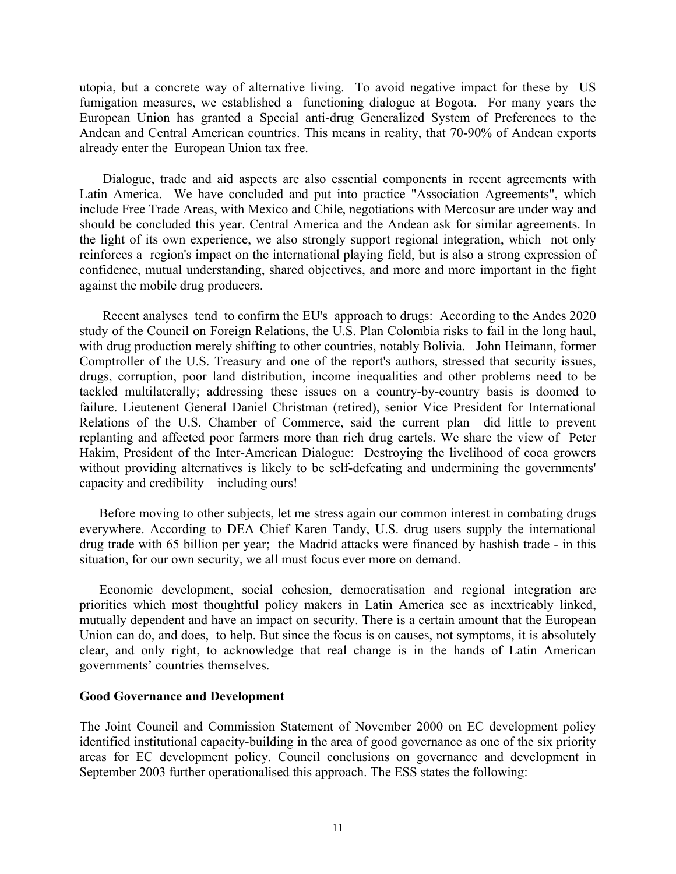utopia, but a concrete way of alternative living. To avoid negative impact for these by US fumigation measures, we established a functioning dialogue at Bogota. For many years the European Union has granted a Special anti-drug Generalized System of Preferences to the Andean and Central American countries. This means in reality, that 70-90% of Andean exports already enter the European Union tax free.

 Dialogue, trade and aid aspects are also essential components in recent agreements with Latin America. We have concluded and put into practice "Association Agreements", which include Free Trade Areas, with Mexico and Chile, negotiations with Mercosur are under way and should be concluded this year. Central America and the Andean ask for similar agreements. In the light of its own experience, we also strongly support regional integration, which not only reinforces a region's impact on the international playing field, but is also a strong expression of confidence, mutual understanding, shared objectives, and more and more important in the fight against the mobile drug producers.

 Recent analyses tend to confirm the EU's approach to drugs: According to the Andes 2020 study of the Council on Foreign Relations, the U.S. Plan Colombia risks to fail in the long haul, with drug production merely shifting to other countries, notably Bolivia. John Heimann, former Comptroller of the U.S. Treasury and one of the report's authors, stressed that security issues, drugs, corruption, poor land distribution, income inequalities and other problems need to be tackled multilaterally; addressing these issues on a country-by-country basis is doomed to failure. Lieutenent General Daniel Christman (retired), senior Vice President for International Relations of the U.S. Chamber of Commerce, said the current plan did little to prevent replanting and affected poor farmers more than rich drug cartels. We share the view of Peter Hakim, President of the Inter-American Dialogue: Destroying the livelihood of coca growers without providing alternatives is likely to be self-defeating and undermining the governments' capacity and credibility – including ours!

 Before moving to other subjects, let me stress again our common interest in combating drugs everywhere. According to DEA Chief Karen Tandy, U.S. drug users supply the international drug trade with 65 billion per year; the Madrid attacks were financed by hashish trade - in this situation, for our own security, we all must focus ever more on demand.

 Economic development, social cohesion, democratisation and regional integration are priorities which most thoughtful policy makers in Latin America see as inextricably linked, mutually dependent and have an impact on security. There is a certain amount that the European Union can do, and does, to help. But since the focus is on causes, not symptoms, it is absolutely clear, and only right, to acknowledge that real change is in the hands of Latin American governments' countries themselves.

#### **Good Governance and Development**

The Joint Council and Commission Statement of November 2000 on EC development policy identified institutional capacity-building in the area of good governance as one of the six priority areas for EC development policy. Council conclusions on governance and development in September 2003 further operationalised this approach. The ESS states the following: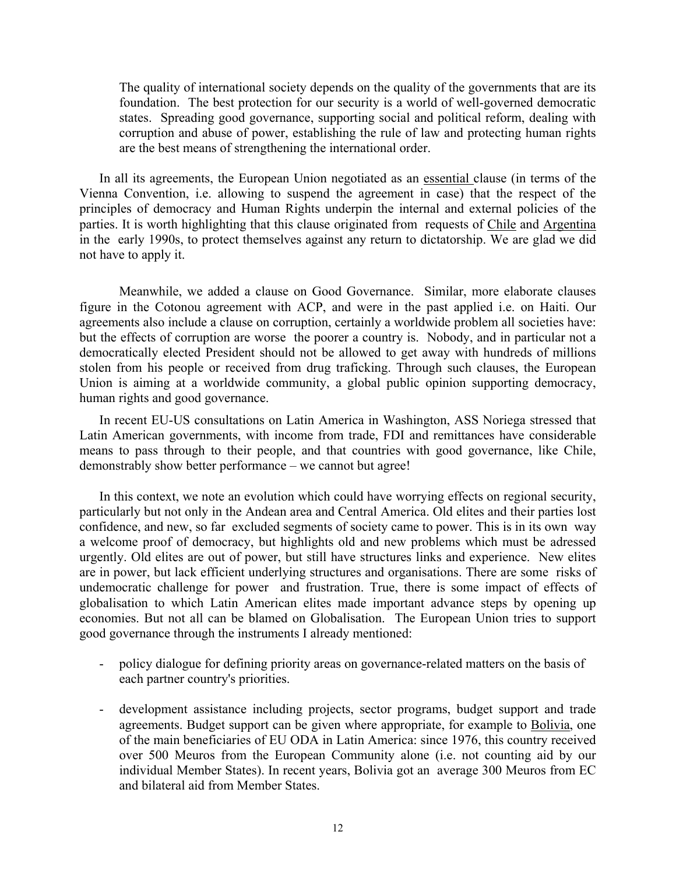The quality of international society depends on the quality of the governments that are its foundation. The best protection for our security is a world of well-governed democratic states. Spreading good governance, supporting social and political reform, dealing with corruption and abuse of power, establishing the rule of law and protecting human rights are the best means of strengthening the international order.

 In all its agreements, the European Union negotiated as an essential clause (in terms of the Vienna Convention, i.e. allowing to suspend the agreement in case) that the respect of the principles of democracy and Human Rights underpin the internal and external policies of the parties. It is worth highlighting that this clause originated from requests of Chile and Argentina in the early 1990s, to protect themselves against any return to dictatorship. We are glad we did not have to apply it.

Meanwhile, we added a clause on Good Governance. Similar, more elaborate clauses figure in the Cotonou agreement with ACP, and were in the past applied i.e. on Haiti. Our agreements also include a clause on corruption, certainly a worldwide problem all societies have: but the effects of corruption are worse the poorer a country is. Nobody, and in particular not a democratically elected President should not be allowed to get away with hundreds of millions stolen from his people or received from drug traficking. Through such clauses, the European Union is aiming at a worldwide community, a global public opinion supporting democracy, human rights and good governance.

 In recent EU-US consultations on Latin America in Washington, ASS Noriega stressed that Latin American governments, with income from trade, FDI and remittances have considerable means to pass through to their people, and that countries with good governance, like Chile, demonstrably show better performance – we cannot but agree!

 In this context, we note an evolution which could have worrying effects on regional security, particularly but not only in the Andean area and Central America. Old elites and their parties lost confidence, and new, so far excluded segments of society came to power. This is in its own way a welcome proof of democracy, but highlights old and new problems which must be adressed urgently. Old elites are out of power, but still have structures links and experience. New elites are in power, but lack efficient underlying structures and organisations. There are some risks of undemocratic challenge for power and frustration. True, there is some impact of effects of globalisation to which Latin American elites made important advance steps by opening up economies. But not all can be blamed on Globalisation. The European Union tries to support good governance through the instruments I already mentioned:

- policy dialogue for defining priority areas on governance-related matters on the basis of each partner country's priorities.
- development assistance including projects, sector programs, budget support and trade agreements. Budget support can be given where appropriate, for example to Bolivia, one of the main beneficiaries of EU ODA in Latin America: since 1976, this country received over 500 Meuros from the European Community alone (i.e. not counting aid by our individual Member States). In recent years, Bolivia got an average 300 Meuros from EC and bilateral aid from Member States.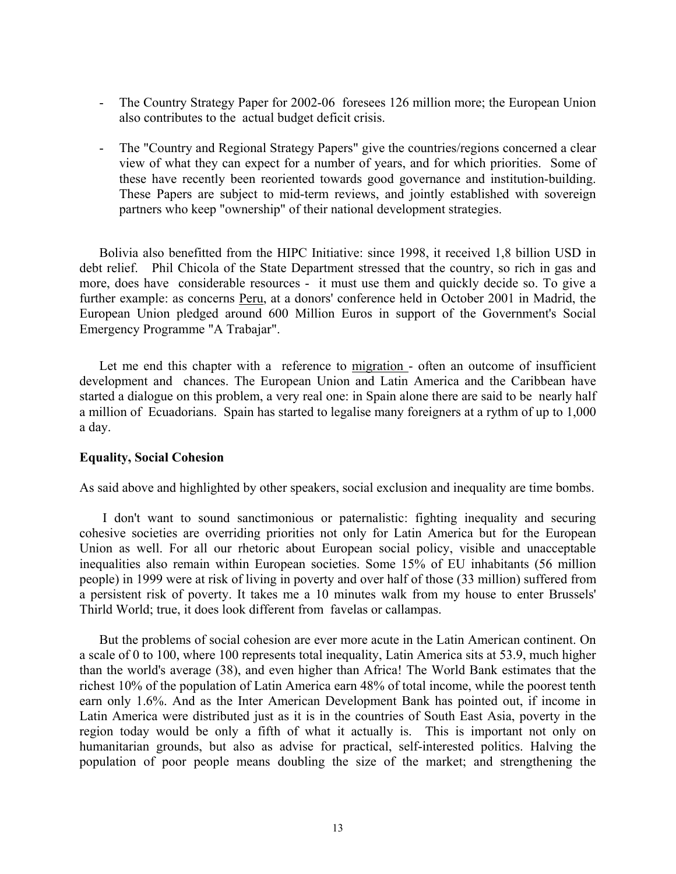- The Country Strategy Paper for 2002-06 foresees 126 million more; the European Union also contributes to the actual budget deficit crisis.
- The "Country and Regional Strategy Papers" give the countries/regions concerned a clear view of what they can expect for a number of years, and for which priorities. Some of these have recently been reoriented towards good governance and institution-building. These Papers are subject to mid-term reviews, and jointly established with sovereign partners who keep "ownership" of their national development strategies.

Bolivia also benefitted from the HIPC Initiative: since 1998, it received 1,8 billion USD in debt relief. Phil Chicola of the State Department stressed that the country, so rich in gas and more, does have considerable resources - it must use them and quickly decide so. To give a further example: as concerns Peru, at a donors' conference held in October 2001 in Madrid, the European Union pledged around 600 Million Euros in support of the Government's Social Emergency Programme "A Trabajar".

Let me end this chapter with a reference to migration - often an outcome of insufficient development and chances. The European Union and Latin America and the Caribbean have started a dialogue on this problem, a very real one: in Spain alone there are said to be nearly half a million of Ecuadorians. Spain has started to legalise many foreigners at a rythm of up to 1,000 a day.

## **Equality, Social Cohesion**

As said above and highlighted by other speakers, social exclusion and inequality are time bombs.

 I don't want to sound sanctimonious or paternalistic: fighting inequality and securing cohesive societies are overriding priorities not only for Latin America but for the European Union as well. For all our rhetoric about European social policy, visible and unacceptable inequalities also remain within European societies. Some 15% of EU inhabitants (56 million people) in 1999 were at risk of living in poverty and over half of those (33 million) suffered from a persistent risk of poverty. It takes me a 10 minutes walk from my house to enter Brussels' Thirld World; true, it does look different from favelas or callampas.

 But the problems of social cohesion are ever more acute in the Latin American continent. On a scale of 0 to 100, where 100 represents total inequality, Latin America sits at 53.9, much higher than the world's average (38), and even higher than Africa! The World Bank estimates that the richest 10% of the population of Latin America earn 48% of total income, while the poorest tenth earn only 1.6%. And as the Inter American Development Bank has pointed out, if income in Latin America were distributed just as it is in the countries of South East Asia, poverty in the region today would be only a fifth of what it actually is. This is important not only on humanitarian grounds, but also as advise for practical, self-interested politics. Halving the population of poor people means doubling the size of the market; and strengthening the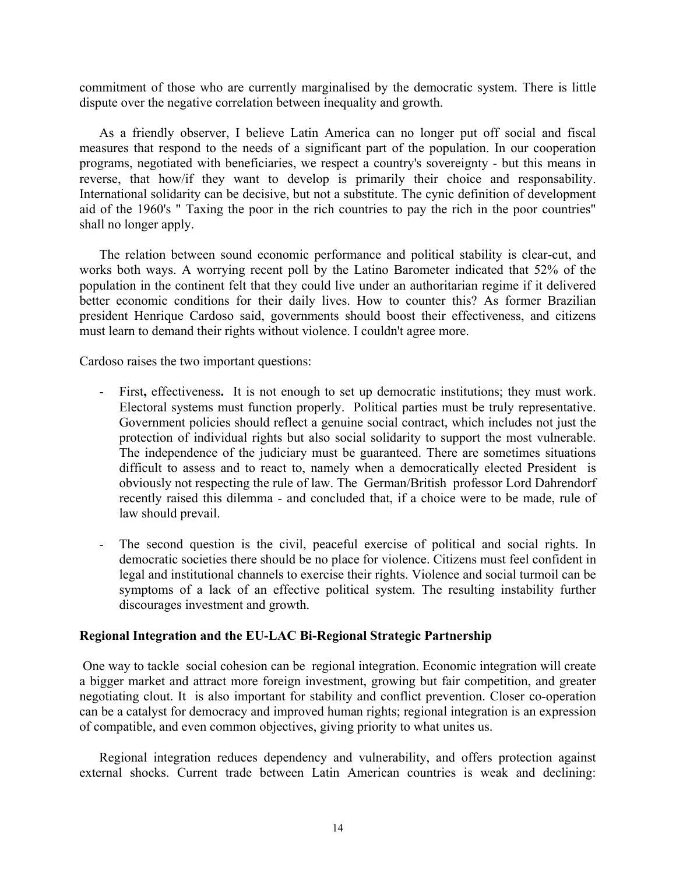commitment of those who are currently marginalised by the democratic system. There is little dispute over the negative correlation between inequality and growth.

 As a friendly observer, I believe Latin America can no longer put off social and fiscal measures that respond to the needs of a significant part of the population. In our cooperation programs, negotiated with beneficiaries, we respect a country's sovereignty - but this means in reverse, that how/if they want to develop is primarily their choice and responsability. International solidarity can be decisive, but not a substitute. The cynic definition of development aid of the 1960's " Taxing the poor in the rich countries to pay the rich in the poor countries" shall no longer apply.

 The relation between sound economic performance and political stability is clear-cut, and works both ways. A worrying recent poll by the Latino Barometer indicated that 52% of the population in the continent felt that they could live under an authoritarian regime if it delivered better economic conditions for their daily lives. How to counter this? As former Brazilian president Henrique Cardoso said, governments should boost their effectiveness, and citizens must learn to demand their rights without violence. I couldn't agree more.

Cardoso raises the two important questions:

- First**,** effectiveness**.** It is not enough to set up democratic institutions; they must work. Electoral systems must function properly. Political parties must be truly representative. Government policies should reflect a genuine social contract, which includes not just the protection of individual rights but also social solidarity to support the most vulnerable. The independence of the judiciary must be guaranteed. There are sometimes situations difficult to assess and to react to, namely when a democratically elected President is obviously not respecting the rule of law. The German/British professor Lord Dahrendorf recently raised this dilemma - and concluded that, if a choice were to be made, rule of law should prevail.
- The second question is the civil, peaceful exercise of political and social rights. In democratic societies there should be no place for violence. Citizens must feel confident in legal and institutional channels to exercise their rights. Violence and social turmoil can be symptoms of a lack of an effective political system. The resulting instability further discourages investment and growth.

## **Regional Integration and the EU-LAC Bi-Regional Strategic Partnership**

 One way to tackle social cohesion can be regional integration. Economic integration will create a bigger market and attract more foreign investment, growing but fair competition, and greater negotiating clout. It is also important for stability and conflict prevention. Closer co-operation can be a catalyst for democracy and improved human rights; regional integration is an expression of compatible, and even common objectives, giving priority to what unites us.

 Regional integration reduces dependency and vulnerability, and offers protection against external shocks. Current trade between Latin American countries is weak and declining: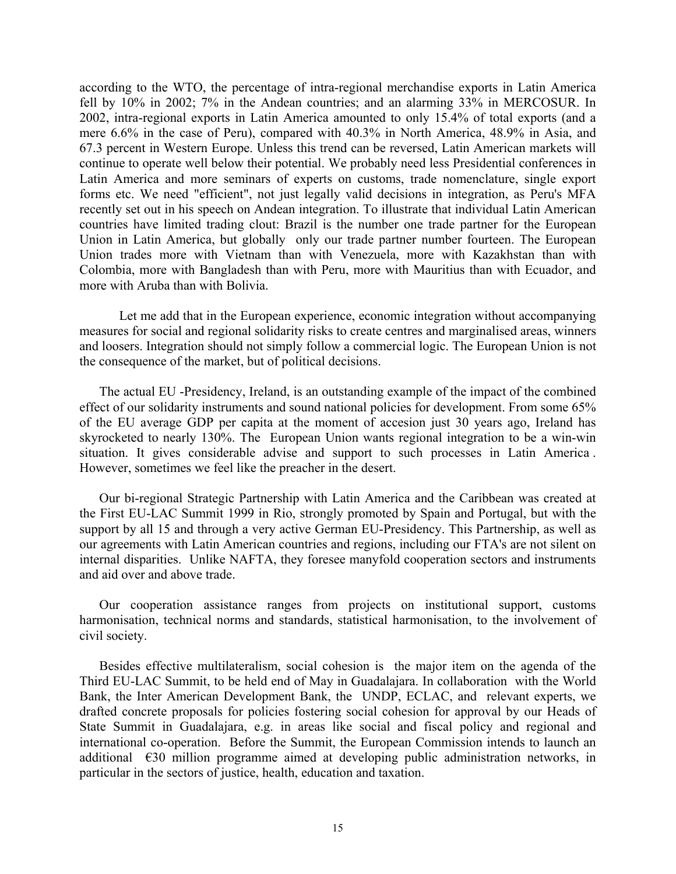according to the WTO, the percentage of intra-regional merchandise exports in Latin America fell by 10% in 2002; 7% in the Andean countries; and an alarming 33% in MERCOSUR. In 2002, intra-regional exports in Latin America amounted to only 15.4% of total exports (and a mere 6.6% in the case of Peru), compared with 40.3% in North America, 48.9% in Asia, and 67.3 percent in Western Europe. Unless this trend can be reversed, Latin American markets will continue to operate well below their potential. We probably need less Presidential conferences in Latin America and more seminars of experts on customs, trade nomenclature, single export forms etc. We need "efficient", not just legally valid decisions in integration, as Peru's MFA recently set out in his speech on Andean integration. To illustrate that individual Latin American countries have limited trading clout: Brazil is the number one trade partner for the European Union in Latin America, but globally only our trade partner number fourteen. The European Union trades more with Vietnam than with Venezuela, more with Kazakhstan than with Colombia, more with Bangladesh than with Peru, more with Mauritius than with Ecuador, and more with Aruba than with Bolivia.

Let me add that in the European experience, economic integration without accompanying measures for social and regional solidarity risks to create centres and marginalised areas, winners and loosers. Integration should not simply follow a commercial logic. The European Union is not the consequence of the market, but of political decisions.

 The actual EU -Presidency, Ireland, is an outstanding example of the impact of the combined effect of our solidarity instruments and sound national policies for development. From some 65% of the EU average GDP per capita at the moment of accesion just 30 years ago, Ireland has skyrocketed to nearly 130%. The European Union wants regional integration to be a win-win situation. It gives considerable advise and support to such processes in Latin America . However, sometimes we feel like the preacher in the desert.

 Our bi-regional Strategic Partnership with Latin America and the Caribbean was created at the First EU-LAC Summit 1999 in Rio, strongly promoted by Spain and Portugal, but with the support by all 15 and through a very active German EU-Presidency. This Partnership, as well as our agreements with Latin American countries and regions, including our FTA's are not silent on internal disparities. Unlike NAFTA, they foresee manyfold cooperation sectors and instruments and aid over and above trade.

 Our cooperation assistance ranges from projects on institutional support, customs harmonisation, technical norms and standards, statistical harmonisation, to the involvement of civil society.

 Besides effective multilateralism, social cohesion is the major item on the agenda of the Third EU-LAC Summit, to be held end of May in Guadalajara. In collaboration with the World Bank, the Inter American Development Bank, the UNDP, ECLAC, and relevant experts, we drafted concrete proposals for policies fostering social cohesion for approval by our Heads of State Summit in Guadalajara, e.g. in areas like social and fiscal policy and regional and international co-operation. Before the Summit, the European Commission intends to launch an additional €30 million programme aimed at developing public administration networks, in particular in the sectors of justice, health, education and taxation.